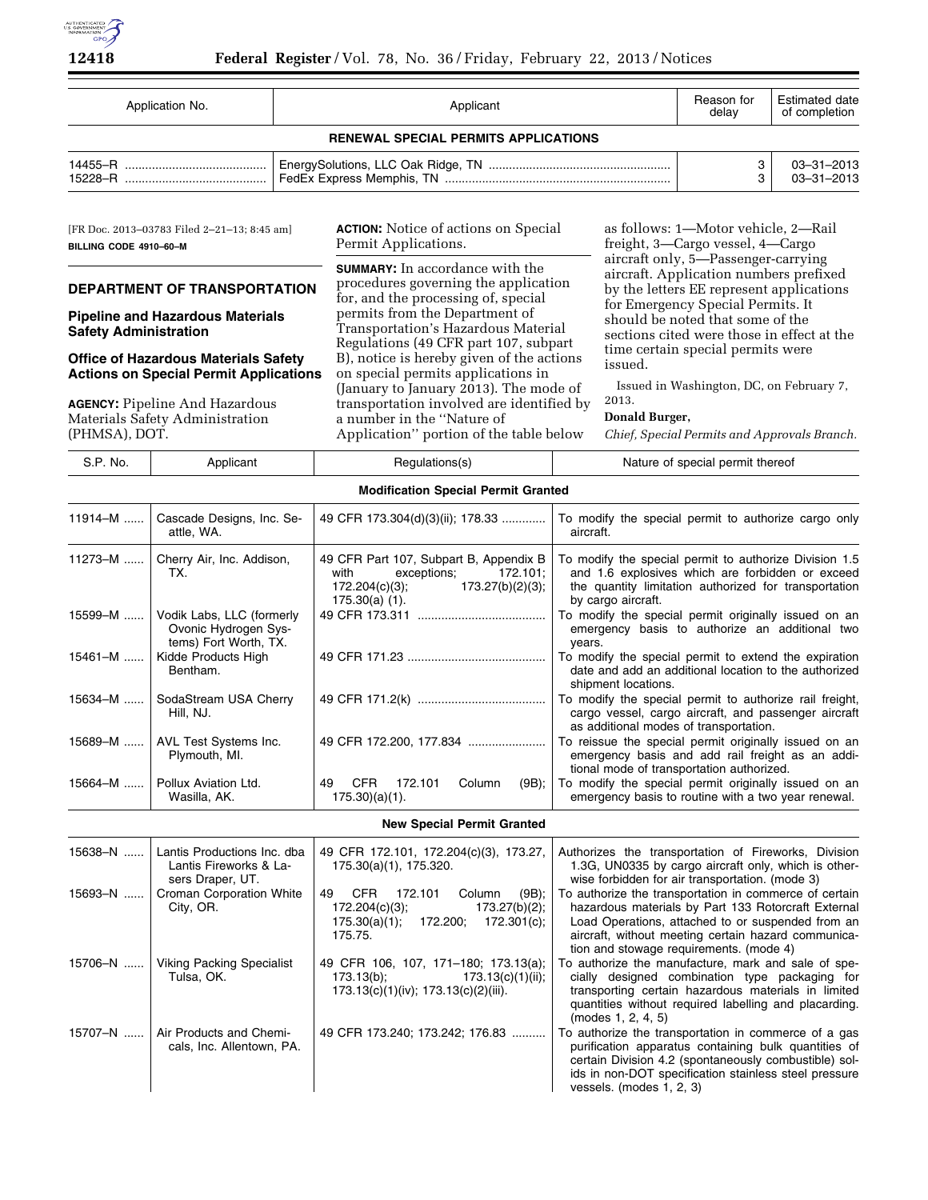

| Application No.                             |  | Reason for | Estimated date   |  |  |  |  |  |
|---------------------------------------------|--|------------|------------------|--|--|--|--|--|
| Applicant                                   |  | delav      | of completion    |  |  |  |  |  |
| <b>RENEWAL SPECIAL PERMITS APPLICATIONS</b> |  |            |                  |  |  |  |  |  |
|                                             |  |            | $03 - 31 - 2013$ |  |  |  |  |  |
| 15228-R                                     |  |            | $03 - 31 - 2013$ |  |  |  |  |  |

[FR Doc. 2013–03783 Filed 2–21–13; 8:45 am] **BILLING CODE 4910–60–M** 

# **DEPARTMENT OF TRANSPORTATION**

**Pipeline and Hazardous Materials Safety Administration** 

### **Office of Hazardous Materials Safety Actions on Special Permit Applications**

**AGENCY:** Pipeline And Hazardous Materials Safety Administration  $(DUNACA)$ , DOT

15707–N ...... | Air Products and Chemi-

cals, Inc. Allentown, PA.

**ACTION:** Notice of actions on Special Permit Applications.

**SUMMARY:** In accordance with the procedures governing the application for, and the processing of, special permits from the Department of Transportation's Hazardous Material Regulations (49 CFR part 107, subpart B), notice is hereby given of the actions on special permits applications in (January to January 2013). The mode of transportation involved are identified by a number in the ''Nature of Application'' portion of the table below

as follows: 1—Motor vehicle, 2—Rail freight, 3—Cargo vessel, 4—Cargo aircraft only, 5—Passenger-carrying aircraft. Application numbers prefixed by the letters EE represent applications for Emergency Special Permits. It should be noted that some of the sections cited were those in effect at the time certain special permits were issued.

Issued in Washington, DC, on February 7,

# **Donald Burger,**

2013.

*Chief, Special Permits and Approvals Branch.* 

| (1.111Y1011), D01. |                                                                            |                                                                                                                                     | Typpheation portion of the table below chief, special Femilis and Approvals branch.                                                                                                                                                                                  |
|--------------------|----------------------------------------------------------------------------|-------------------------------------------------------------------------------------------------------------------------------------|----------------------------------------------------------------------------------------------------------------------------------------------------------------------------------------------------------------------------------------------------------------------|
| S.P. No.           | Applicant                                                                  | Regulations(s)                                                                                                                      | Nature of special permit thereof                                                                                                                                                                                                                                     |
|                    |                                                                            | <b>Modification Special Permit Granted</b>                                                                                          |                                                                                                                                                                                                                                                                      |
| $11914 - M$        | Cascade Designs, Inc. Se-<br>attle, WA.                                    | 49 CFR 173.304(d)(3)(ii); 178.33                                                                                                    | To modify the special permit to authorize cargo only<br>aircraft.                                                                                                                                                                                                    |
| 11273-M            | Cherry Air, Inc. Addison,<br>TX.                                           | 49 CFR Part 107, Subpart B, Appendix B<br>172.101;<br>with<br>exceptions;<br>172.204(c)(3);<br>173.27(b)(2)(3);<br>$175.30(a)$ (1). | To modify the special permit to authorize Division 1.5<br>and 1.6 explosives which are forbidden or exceed<br>the quantity limitation authorized for transportation<br>by cargo aircraft.                                                                            |
| 15599-M            | Vodik Labs, LLC (formerly<br>Ovonic Hydrogen Sys-<br>tems) Fort Worth, TX. |                                                                                                                                     | To modify the special permit originally issued on an<br>emergency basis to authorize an additional two<br>years.                                                                                                                                                     |
| 15461-M            | Kidde Products High<br>Bentham.                                            |                                                                                                                                     | To modify the special permit to extend the expiration<br>date and add an additional location to the authorized<br>shipment locations.                                                                                                                                |
| 15634-M            | SodaStream USA Cherry<br>Hill, NJ.                                         |                                                                                                                                     | To modify the special permit to authorize rail freight,<br>cargo vessel, cargo aircraft, and passenger aircraft<br>as additional modes of transportation.                                                                                                            |
| 15689-M            | AVL Test Systems Inc.<br>Plymouth, MI.                                     |                                                                                                                                     | To reissue the special permit originally issued on an<br>emergency basis and add rail freight as an addi-<br>tional mode of transportation authorized.                                                                                                               |
| $15664 - M$        | Pollux Aviation Ltd.<br>Wasilla, AK.                                       | 172.101<br>CFR<br>Column<br>$(9B)$ :<br>49<br>$175.30)(a)(1)$ .                                                                     | To modify the special permit originally issued on an<br>emergency basis to routine with a two year renewal.                                                                                                                                                          |
|                    |                                                                            | <b>New Special Permit Granted</b>                                                                                                   |                                                                                                                                                                                                                                                                      |
| 15638-N            | Lantis Productions Inc. dba<br>Lantis Fireworks & La-<br>sers Draper, UT.  | 49 CFR 172.101, 172.204(c)(3), 173.27,<br>175.30(a)(1), 175.320.                                                                    | Authorizes the transportation of Fireworks, Division<br>1.3G, UN0335 by cargo aircraft only, which is other-<br>wise forbidden for air transportation. (mode 3)                                                                                                      |
| 15693-N            | <b>Croman Corporation White</b><br>City, OR.                               | CFR<br>172.101<br>49<br>Column<br>$(9B)$ ;<br>172.204(c)(3);<br>173.27(b)(2);<br>172.200; 172.301(c);<br>175.30(a)(1);<br>175.75.   | To authorize the transportation in commerce of certain<br>hazardous materials by Part 133 Rotorcraft External<br>Load Operations, attached to or suspended from an<br>aircraft, without meeting certain hazard communica-<br>tion and stowage requirements. (mode 4) |
| 15706-N            | <b>Viking Packing Specialist</b><br>Tulsa, OK.                             | 49 CFR 106, 107, 171-180; 173.13(a);<br>$173.13(b)$ ;<br>173.13(c)(1)(ii);                                                          | To authorize the manufacture, mark and sale of spe-<br>cially designed combination type packaging for                                                                                                                                                                |

173.13(b); 173.13(c)(1)(ii); 173.13(c)(1)(iv); 173.13(c)(2)(iii). To authorize the manufacture, mark and sale of specially designed combination type packaging for transporting certain hazardous materials in limited quantities without required labelling and placarding. (modes 1, 2, 4, 5) 49 CFR 173.240; 173.242; 176.83 .......... To authorize the transportation in commerce of a gas

purification apparatus containing bulk quantities of certain Division 4.2 (spontaneously combustible) solids in non-DOT specification stainless steel pressure vessels. (modes 1, 2, 3)